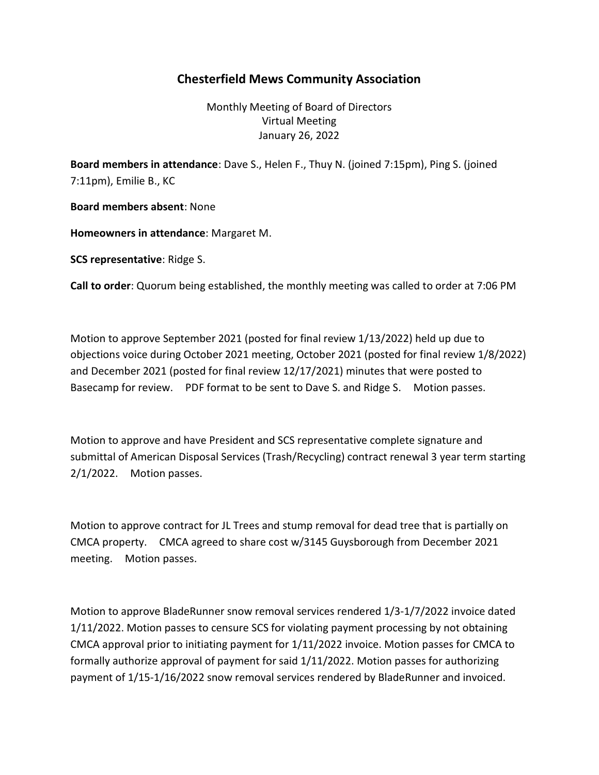## Chesterfield Mews Community Association

Monthly Meeting of Board of Directors Virtual Meeting January 26, 2022

Board members in attendance: Dave S., Helen F., Thuy N. (joined 7:15pm), Ping S. (joined 7:11pm), Emilie B., KC

Board members absent: None

Homeowners in attendance: Margaret M.

SCS representative: Ridge S.

Call to order: Quorum being established, the monthly meeting was called to order at 7:06 PM

Motion to approve September 2021 (posted for final review 1/13/2022) held up due to objections voice during October 2021 meeting, October 2021 (posted for final review 1/8/2022) and December 2021 (posted for final review 12/17/2021) minutes that were posted to Basecamp for review. PDF format to be sent to Dave S. and Ridge S. Motion passes.

Motion to approve and have President and SCS representative complete signature and submittal of American Disposal Services (Trash/Recycling) contract renewal 3 year term starting 2/1/2022. Motion passes.

Motion to approve contract for JL Trees and stump removal for dead tree that is partially on CMCA property. CMCA agreed to share cost w/3145 Guysborough from December 2021 meeting. Motion passes.

Motion to approve BladeRunner snow removal services rendered 1/3-1/7/2022 invoice dated 1/11/2022. Motion passes to censure SCS for violating payment processing by not obtaining CMCA approval prior to initiating payment for 1/11/2022 invoice. Motion passes for CMCA to formally authorize approval of payment for said 1/11/2022. Motion passes for authorizing payment of 1/15-1/16/2022 snow removal services rendered by BladeRunner and invoiced.